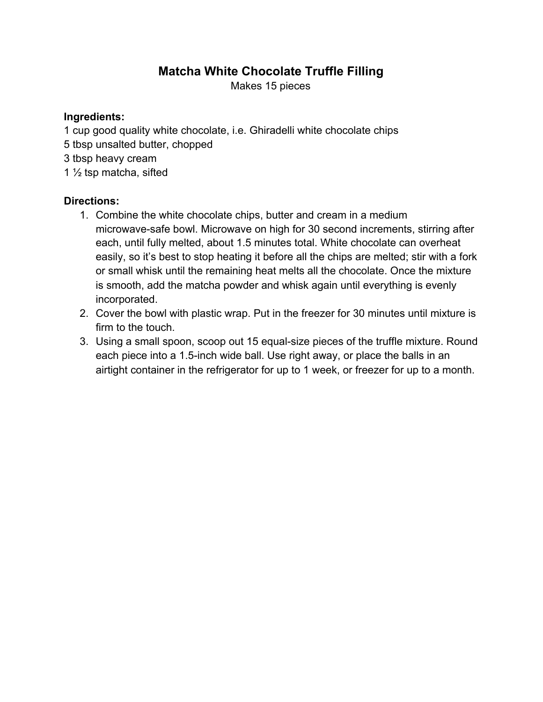# **Matcha White Chocolate Truffle Filling**

Makes 15 pieces

### **Ingredients:**

1 cup good quality white chocolate, i.e. Ghiradelli white chocolate chips

- 5 tbsp unsalted butter, chopped
- 3 tbsp heavy cream

1 ½ tsp matcha, sifted

## **Directions:**

- 1. Combine the white chocolate chips, butter and cream in a medium microwave-safe bowl. Microwave on high for 30 second increments, stirring after each, until fully melted, about 1.5 minutes total. White chocolate can overheat easily, so it's best to stop heating it before all the chips are melted; stir with a fork or small whisk until the remaining heat melts all the chocolate. Once the mixture is smooth, add the matcha powder and whisk again until everything is evenly incorporated.
- 2. Cover the bowl with plastic wrap. Put in the freezer for 30 minutes until mixture is firm to the touch.
- 3. Using a small spoon, scoop out 15 equal-size pieces of the truffle mixture. Round each piece into a 1.5-inch wide ball. Use right away, or place the balls in an airtight container in the refrigerator for up to 1 week, or freezer for up to a month.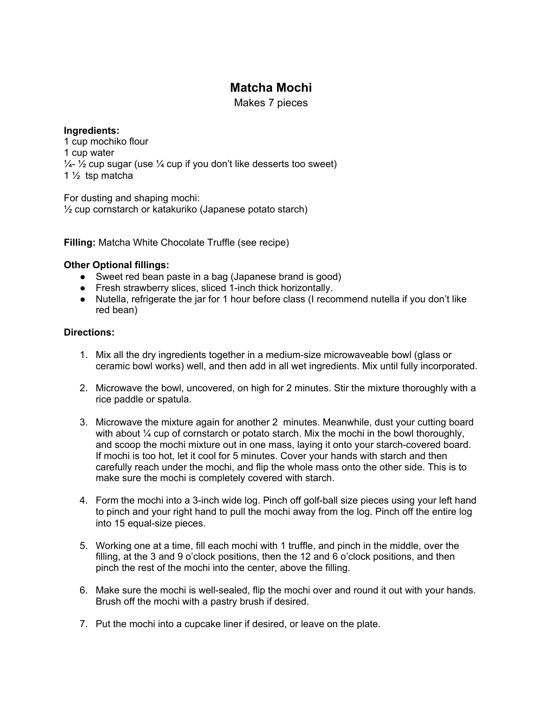# **Matcha Mochi**

Makes 7 pieces

#### **Ingredients:**

 cup mochiko flour cup water  $\frac{1}{4}$ -  $\frac{1}{2}$  cup sugar (use  $\frac{1}{4}$  cup if you don't like desserts too sweet) ½ tsp matcha

For dusting and shaping mochi: ½ cup cornstarch or katakuriko (Japanese potato starch)

**Filling:** Matcha White Chocolate Truffle (see recipe)

#### **Other Optional fillings:**

- Sweet red bean paste in a bag (Japanese brand is good)
- Fresh strawberry slices, sliced 1-inch thick horizontally.
- Nutella, refrigerate the jar for 1 hour before class (I recommend nutella if you don't like red bean)

#### **Directions:**

- 1. Mix all the dry ingredients together in a medium-size microwaveable bowl (glass or ceramic bowl works) well, and then add in all wet ingredients. Mix until fully incorporated.
- 2. Microwave the bowl, uncovered, on high for 2 minutes. Stir the mixture thoroughly with a rice paddle or spatula.
- 3. Microwave the mixture again for another 2 minutes. Meanwhile, dust your cutting board with about  $\frac{1}{4}$  cup of cornstarch or potato starch. Mix the mochi in the bowl thoroughly, and scoop the mochi mixture out in one mass, laying it onto your starch-covered board. If mochi is too hot, let it cool for 5 minutes. Cover your hands with starch and then carefully reach under the mochi, and flip the whole mass onto the other side. This is to make sure the mochi is completely covered with starch.
- 4. Form the mochi into a 3-inch wide log. Pinch off golf-ball size pieces using your left hand to pinch and your right hand to pull the mochi away from the log. Pinch off the entire log into 15 equal-size pieces.
- 5. Working one at a time, fill each mochi with 1 truffle, and pinch in the middle, over the filling, at the 3 and 9 o'clock positions, then the 12 and 6 o'clock positions, and then pinch the rest of the mochi into the center, above the filling.
- 6. Make sure the mochi is well-sealed, flip the mochi over and round it out with your hands. Brush off the mochi with a pastry brush if desired.
- 7. Put the mochi into a cupcake liner if desired, or leave on the plate.